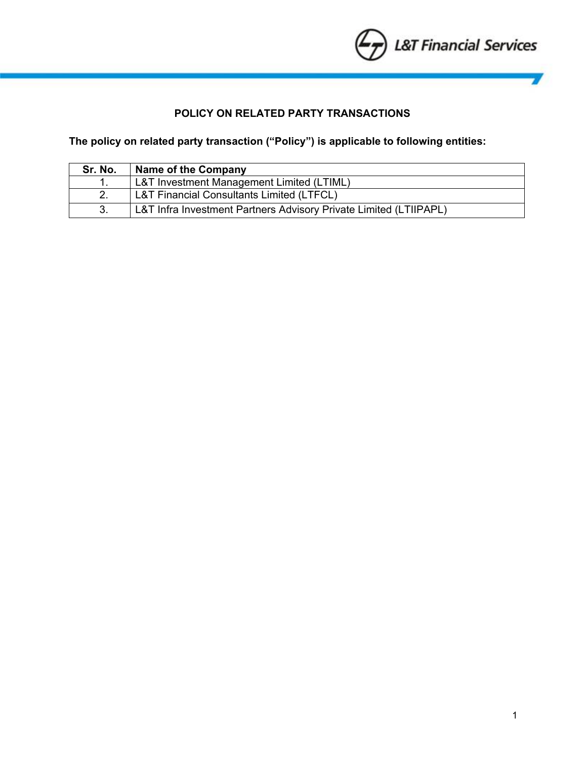

# **POLICY ON RELATED PARTY TRANSACTIONS**

## **The policy on related party transaction ("Policy") is applicable to following entities:**

| Sr. No. | <b>Name of the Company</b>                                        |
|---------|-------------------------------------------------------------------|
|         | L&T Investment Management Limited (LTIML)                         |
|         | L&T Financial Consultants Limited (LTFCL)                         |
|         | L&T Infra Investment Partners Advisory Private Limited (LTIIPAPL) |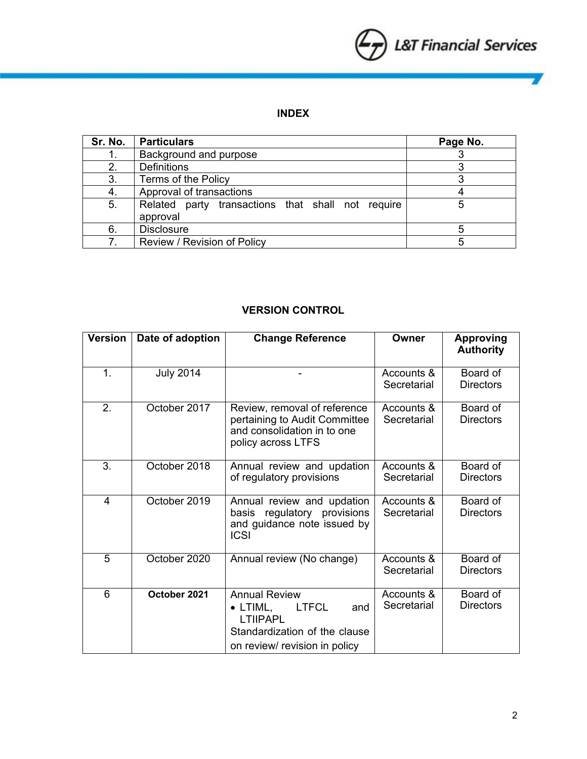

V

# **INDEX**

| Sr. No. | <b>Particulars</b>                                            | Page No. |
|---------|---------------------------------------------------------------|----------|
|         | Background and purpose                                        |          |
| 2.      | <b>Definitions</b>                                            |          |
| 3.      | Terms of the Policy                                           |          |
| 4.      | Approval of transactions                                      |          |
| 5.      | Related party transactions that shall not require<br>approval |          |
| 6.      | <b>Disclosure</b>                                             |          |
|         | Review / Revision of Policy                                   |          |

## **VERSION CONTROL**

| <b>Version</b> | Date of adoption | <b>Change Reference</b>                                                                                                                              | Owner                     | <b>Approving</b><br><b>Authority</b> |
|----------------|------------------|------------------------------------------------------------------------------------------------------------------------------------------------------|---------------------------|--------------------------------------|
| 1.             | <b>July 2014</b> |                                                                                                                                                      | Accounts &<br>Secretarial | Board of<br><b>Directors</b>         |
| 2.             | October 2017     | Review, removal of reference<br>pertaining to Audit Committee<br>and consolidation in to one<br>policy across LTFS                                   | Accounts &<br>Secretarial | Board of<br><b>Directors</b>         |
| 3.             | October 2018     | Annual review and updation<br>of regulatory provisions                                                                                               | Accounts &<br>Secretarial | Board of<br><b>Directors</b>         |
| $\overline{4}$ | October 2019     | Annual review and updation<br>basis regulatory provisions<br>and guidance note issued by<br><b>ICSI</b>                                              | Accounts &<br>Secretarial | Board of<br><b>Directors</b>         |
| 5              | October 2020     | Annual review (No change)                                                                                                                            | Accounts &<br>Secretarial | Board of<br><b>Directors</b>         |
| 6              | October 2021     | <b>Annual Review</b><br><b>LTFCL</b><br>$\bullet$ LTIML,<br>and<br><b>LTIIPAPL</b><br>Standardization of the clause<br>on review/ revision in policy | Accounts &<br>Secretarial | Board of<br><b>Directors</b>         |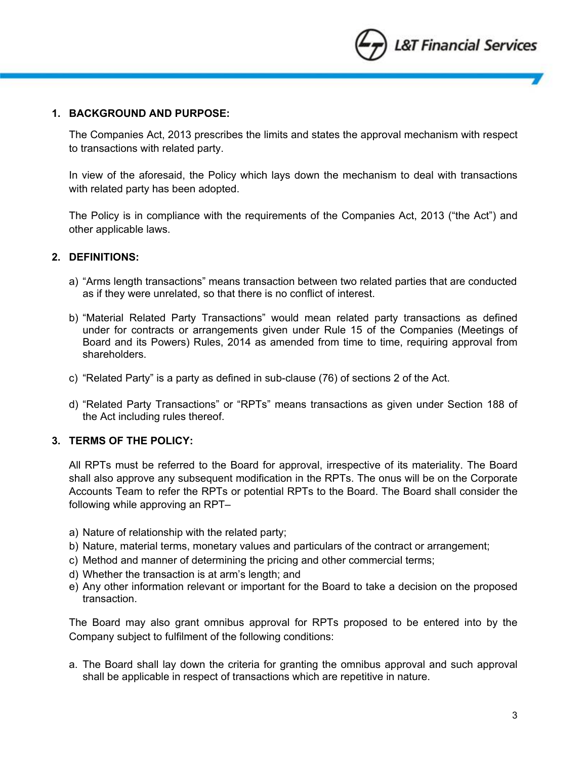

### **1. BACKGROUND AND PURPOSE:**

The Companies Act, 2013 prescribes the limits and states the approval mechanism with respect to transactions with related party.

In view of the aforesaid, the Policy which lays down the mechanism to deal with transactions with related party has been adopted.

The Policy is in compliance with the requirements of the Companies Act, 2013 ("the Act") and other applicable laws.

## **2. DEFINITIONS:**

- a) "Arms length transactions" means transaction between two related parties that are conducted as if they were unrelated, so that there is no conflict of interest.
- b) "Material Related Party Transactions" would mean related party transactions as defined under for contracts or arrangements given under Rule 15 of the Companies (Meetings of Board and its Powers) Rules, 2014 as amended from time to time, requiring approval from shareholders.
- c) "Related Party" is a party as defined in sub-clause (76) of sections 2 of the Act.
- d) "Related Party Transactions" or "RPTs" means transactions as given under Section 188 of the Act including rules thereof.

### **3. TERMS OF THE POLICY:**

All RPTs must be referred to the Board for approval, irrespective of its materiality. The Board shall also approve any subsequent modification in the RPTs. The onus will be on the Corporate Accounts Team to refer the RPTs or potential RPTs to the Board. The Board shall consider the following while approving an RPT–

- a) Nature of relationship with the related party;
- b) Nature, material terms, monetary values and particulars of the contract or arrangement;
- c) Method and manner of determining the pricing and other commercial terms;
- d) Whether the transaction is at arm's length; and
- e) Any other information relevant or important for the Board to take a decision on the proposed transaction.

The Board may also grant omnibus approval for RPTs proposed to be entered into by the Company subject to fulfilment of the following conditions:

a. The Board shall lay down the criteria for granting the omnibus approval and such approval shall be applicable in respect of transactions which are repetitive in nature.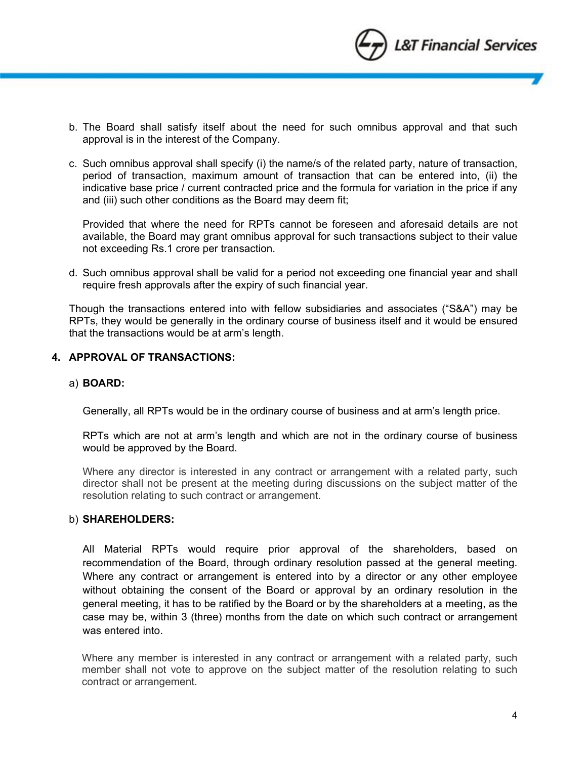

- b. The Board shall satisfy itself about the need for such omnibus approval and that such approval is in the interest of the Company.
- c. Such omnibus approval shall specify (i) the name/s of the related party, nature of transaction, period of transaction, maximum amount of transaction that can be entered into, (ii) the indicative base price / current contracted price and the formula for variation in the price if any and (iii) such other conditions as the Board may deem fit;

Provided that where the need for RPTs cannot be foreseen and aforesaid details are not available, the Board may grant omnibus approval for such transactions subject to their value not exceeding Rs.1 crore per transaction.

d. Such omnibus approval shall be valid for a period not exceeding one financial year and shall require fresh approvals after the expiry of such financial year.

Though the transactions entered into with fellow subsidiaries and associates ("S&A") may be RPTs, they would be generally in the ordinary course of business itself and it would be ensured that the transactions would be at arm's length.

## **4. APPROVAL OF TRANSACTIONS:**

#### a) **BOARD:**

Generally, all RPTs would be in the ordinary course of business and at arm's length price.

RPTs which are not at arm's length and which are not in the ordinary course of business would be approved by the Board.

Where any director is interested in any contract or arrangement with a related party, such director shall not be present at the meeting during discussions on the subject matter of the resolution relating to such contract or arrangement.

### b) **SHAREHOLDERS:**

All Material RPTs would require prior approval of the shareholders, based on recommendation of the Board, through ordinary resolution passed at the general meeting. Where any contract or arrangement is entered into by a director or any other employee without obtaining the consent of the Board or approval by an ordinary resolution in the general meeting, it has to be ratified by the Board or by the shareholders at a meeting, as the case may be, within 3 (three) months from the date on which such contract or arrangement was entered into.

Where any member is interested in any contract or arrangement with a related party, such member shall not vote to approve on the subject matter of the resolution relating to such contract or arrangement.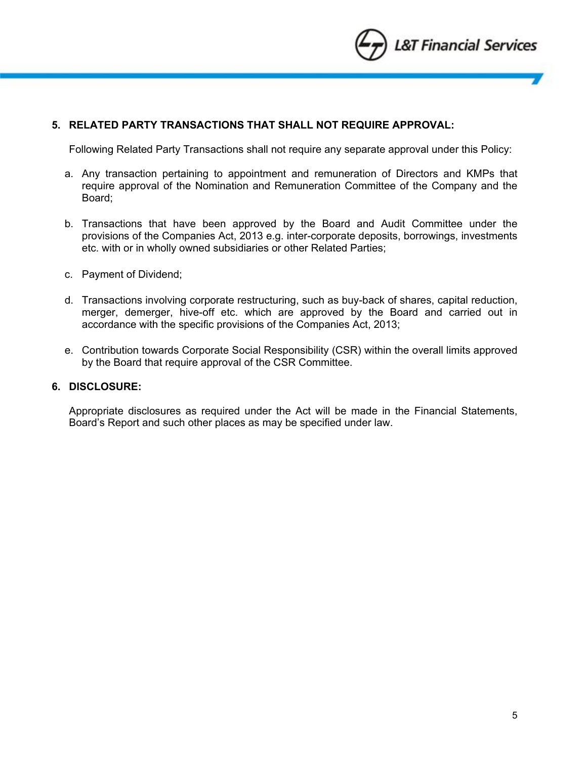

## **5. RELATED PARTY TRANSACTIONS THAT SHALL NOT REQUIRE APPROVAL:**

Following Related Party Transactions shall not require any separate approval under this Policy:

- a. Any transaction pertaining to appointment and remuneration of Directors and KMPs that require approval of the Nomination and Remuneration Committee of the Company and the Board;
- b. Transactions that have been approved by the Board and Audit Committee under the provisions of the Companies Act, 2013 e.g. inter-corporate deposits, borrowings, investments etc. with or in wholly owned subsidiaries or other Related Parties;
- c. Payment of Dividend;
- d. Transactions involving corporate restructuring, such as buy-back of shares, capital reduction, merger, demerger, hive-off etc. which are approved by the Board and carried out in accordance with the specific provisions of the Companies Act, 2013;
- e. Contribution towards Corporate Social Responsibility (CSR) within the overall limits approved by the Board that require approval of the CSR Committee.

### **6. DISCLOSURE:**

Appropriate disclosures as required under the Act will be made in the Financial Statements, Board's Report and such other places as may be specified under law.